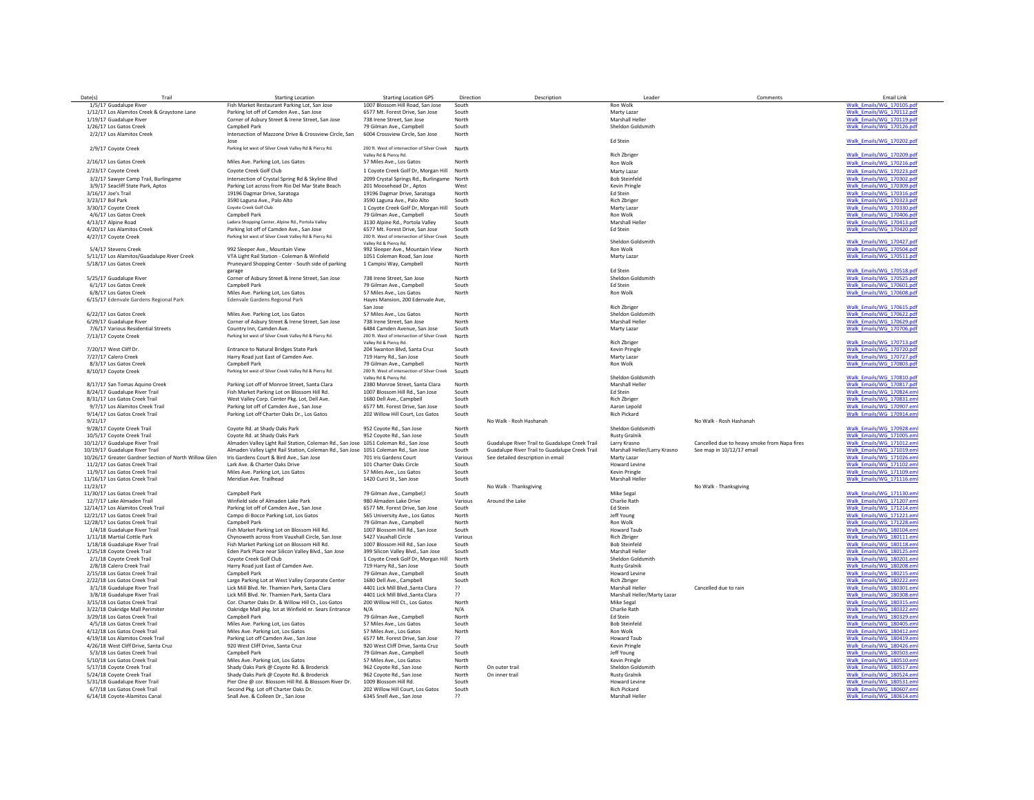| Date(s)  | Trail                                                            | <b>Starting Location</b>                                                            | <b>Starting Location GPS</b>                               | Direction      | Description                                    | Leader                        | Comments                                     | Email Link                                             |
|----------|------------------------------------------------------------------|-------------------------------------------------------------------------------------|------------------------------------------------------------|----------------|------------------------------------------------|-------------------------------|----------------------------------------------|--------------------------------------------------------|
|          | 1/5/17 Guadalupe River                                           | Fish Market Restaurant Parking Lot, San Jose                                        | 1007 Blossom Hill Road, San Jose                           | South          |                                                | <b>Ron Wolk</b>               |                                              | Walk Emails/WG 170105.pdf                              |
|          | 1/12/17 Los Alamitos Creek & Graystone Lane                      | Parking lot off of Camden Ave., San Jose                                            | 6577 Mt. Forest Drive, San Jose                            | South          |                                                | Marty Lazar                   |                                              | Walk Emails/WG 170112.pd                               |
|          | 1/19/17 Guadalupe River                                          | Corner of Asbury Street & Irene Street, San Jose                                    | 738 Irene Street, San Jose                                 | North          |                                                | <b>Marshall Heller</b>        |                                              | Walk Emails/WG 170119.pdf                              |
|          | 1/26/17 Los Gatos Creek                                          | Campbell Park                                                                       | 79 Gilman Ave., Campbell                                   | South          |                                                | Sheldon Goldsmith             |                                              | Walk Emails/WG 170126.pdf                              |
|          |                                                                  |                                                                                     |                                                            |                |                                                |                               |                                              |                                                        |
|          | 2/2/17 Los Alamitos Creek                                        | Intersection of Mazzone Drive & Crossview Circle, San                               | 6004 Crossview Circle, San Jose                            | North          |                                                | <b>Ed Stein</b>               |                                              |                                                        |
|          |                                                                  | lose                                                                                |                                                            |                |                                                |                               |                                              | Walk Emails/WG 170202.pdf                              |
|          | 2/9/17 Coyote Creek                                              | Parking lot west of Silver Creek Valley Rd & Piercy Rd.                             | 200 ft. West of intersection of Silver Creek               | North          |                                                |                               |                                              |                                                        |
|          |                                                                  |                                                                                     | Valley Rd & Piercy Rd.                                     |                |                                                | <b>Rich Zbriger</b>           |                                              | Walk Emails/WG 170209.pdf                              |
|          | 2/16/17 Los Gatos Creek                                          | Miles Ave. Parking Lot, Los Gatos                                                   | 57 Miles Ave., Los Gatos                                   | North          |                                                | Ron Wolk                      |                                              | Walk_Emails/WG_170216.pdf                              |
|          | 2/23/17 Coyote Creek                                             | Coyote Creek Golf Club                                                              | 1 Coyote Creek Golf Dr, Morgan Hill                        | North          |                                                | Marty Lazar                   |                                              | Walk Emails/WG 170223.pdf                              |
|          | 3/2/17 Sawyer Camp Trail, Burlingame                             | Intersection of Crystal Spring Rd & Skyline Blvd                                    | 2099 Crystal Springs Rd., Burlingame North                 |                |                                                | <b>Bob Steinfeld</b>          |                                              | Walk_Emails/WG_170302.pd                               |
|          | 3/9/17 Seacliff State Park, Aptos                                | Parking Lot across from Rio Del Mar State Beach                                     | 201 Moosehead Dr., Aptos                                   | West           |                                                | <b>Kevin Pringle</b>          |                                              | Walk Emails/WG 170309.pd                               |
|          | 3/16/17 Joe's Trail                                              | 19196 Dagmar Drive, Saratoga                                                        | 19196 Dagmar Drive, Saratoga                               | North          |                                                | Ed Stein                      |                                              | Walk_Emails/WG_170316.pdf                              |
|          | 3/23/17 Bol Park                                                 | 3590 Laguna Ave., Palo Alto                                                         | 3590 Laguna Ave., Palo Alto                                | South          |                                                | Rich Zbrige                   |                                              | Walk_Emails/WG_170323.pdf                              |
|          |                                                                  |                                                                                     |                                                            |                |                                                |                               |                                              |                                                        |
|          | 3/30/17 Coyote Creek                                             | Coyote Creek Golf Club                                                              | 1 Coyote Creek Golf Dr, Morgan Hill                        | South          |                                                | Marty Lazar                   |                                              | Walk Emails/WG 170330.pdf                              |
|          | 4/6/17 Los Gatos Creek                                           | Campbell Park                                                                       | 79 Gilman Ave., Campbell                                   | South          |                                                | Ron Wolk                      |                                              | Walk_Emails/WG_170406.pdf                              |
|          | 4/13/17 Alpine Road                                              | Ladera Shopping Center, Alpine Rd., Portola Valley                                  | 3130 Alpine Rd., Portola Valley                            | South          |                                                | <b>Marshall Heller</b>        |                                              | Walk_Emails/WG_170413.pdf                              |
|          | 4/20/17 Los Alamitos Creek                                       | Parking lot off of Camden Ave., San Jose                                            | 6577 Mt. Forest Drive, San Jose                            | South          |                                                | Ed Stein                      |                                              | Walk Emails/WG 170420.pd                               |
|          | 4/27/17 Coyote Creek                                             | Parking lot west of Silver Creek Valley Rd & Piercy Rd.                             | 200 ft. West of intersection of Silver Creek               | South          |                                                |                               |                                              |                                                        |
|          |                                                                  |                                                                                     | Valley Rd & Pierry Rd.                                     |                |                                                | Sheldon Goldsmith             |                                              | Walk_Emails/WG_170427.pdf                              |
|          | 5/4/17 Stevens Creek                                             | 992 Sleeper Ave., Mountain View                                                     | 992 Sleeper Ave., Mountain View                            | North          |                                                | <b>Ron Wolk</b>               |                                              | Walk Emails/WG 170504.pdf                              |
|          | 5/11/17 Los Alamitos/Guadalupe River Creek                       | VTA Light Rail Station - Coleman & Winfield                                         | 1051 Coleman Road, San Jose                                | North          |                                                | Marty Lazar                   |                                              | Walk_Emails/WG_170511.pdf                              |
|          | 5/18/17 Los Gatos Creek                                          | Pruneyard Shopping Center - South side of parking                                   | 1 Campisi Way, Campbell                                    | North          |                                                |                               |                                              |                                                        |
|          |                                                                  | garage                                                                              |                                                            |                |                                                | Ed Stein                      |                                              | Walk Emails/WG 170518.pdf                              |
|          | 5/25/17 Guadalupe River                                          | Corner of Asbury Street & Irene Street, San Jose                                    | 738 Irene Street, San Jose                                 | North          |                                                | Sheldon Goldsmith             |                                              | Walk_Emails/WG_170525.pdf                              |
|          | 6/1/17 Los Gatos Creek                                           | Campbell Park                                                                       | 79 Gilman Ave., Campbell                                   | South          |                                                | <b>Ed Stein</b>               |                                              | Walk Emails/WG 170601.pdf                              |
|          | 6/8/17 Los Gatos Creek                                           | Miles Ave. Parking Lot, Los Gatos                                                   | 57 Miles Ave., Los Gatos                                   | North          |                                                | Ron Wolk                      |                                              | Walk_Emails/WG_170608.pdf                              |
|          | 6/15/17 Edenvale Gardens Regional Park                           | Edenvale Gardens Regional Park                                                      | Haves Mansion, 200 Edenvale Ave                            |                |                                                |                               |                                              |                                                        |
|          |                                                                  |                                                                                     | San Jose                                                   |                |                                                | <b>Rich Zbriger</b>           |                                              | Walk_Emails/WG_170615.pdf                              |
|          | 6/22/17 Los Gatos Creek                                          | Miles Ave. Parking Lot, Los Gatos                                                   | 57 Miles Ave., Los Gatos                                   | North          |                                                | Sheldon Goldsmith             |                                              | Walk_Emails/WG_170622.pdf                              |
|          | 6/29/17 Guadalupe River                                          |                                                                                     | 738 Irene Street, San Jose                                 | North          |                                                | Marshall Heller               |                                              |                                                        |
|          |                                                                  | Corner of Asbury Street & Irene Street, San Jose                                    |                                                            |                |                                                |                               |                                              | Walk Emails/WG 170629.pdf                              |
|          | 7/6/17 Various Residential Streets                               | Country Inn, Camden Ave.                                                            | 6484 Camden Avenue, San Jose                               | South          |                                                | Marty Lazar                   |                                              | Walk_Emails/WG_170706.pdf                              |
|          | 7/13/17 Coyote Creek                                             | Parking lot west of Silver Creek Valley Rd & Piercy Rd.                             | 200 ft. West of intersection of Silver Creek               | North          |                                                |                               |                                              |                                                        |
|          |                                                                  |                                                                                     | Valley Rd & Piercy Rd.                                     |                |                                                | <b>Rich Zbriger</b>           |                                              | Walk_Emails/WG_170713.pdf                              |
|          | 7/20/17 West Cliff Dr.                                           | Entrance to Natural Bridges State Park                                              | 204 Swanton Blvd, Santa Cruz                               | South          |                                                | <b>Kevin Pringle</b>          |                                              | Walk Emails/WG 170720.pdf                              |
|          | 7/27/17 Calero Creek                                             | Harry Road just East of Camden Ave.                                                 | 719 Harry Rd., San Jose                                    | South          |                                                | Marty Lazar                   |                                              | Walk Emails/WG 170727.pdf                              |
|          | 8/3/17 Los Gatos Creek                                           | Campbell Park                                                                       | 79 Gilman Ave., Campbell                                   | North          |                                                | Ron Wolk                      |                                              | Walk Emails/WG 170803.pdf                              |
|          | 8/10/17 Coyote Creek                                             | Parking lot west of Silver Creek Valley Rd & Piercy Rd.                             | 200 ft. West of intersection of Silver Creek               | South          |                                                |                               |                                              |                                                        |
|          |                                                                  |                                                                                     | Valley Rd & Piercy Rd.                                     |                |                                                | Sheldon Goldsmith             |                                              | Walk_Emails/WG_170810.pdf                              |
|          | 8/17/17 San Tomas Aguino Creek                                   | Parking Lot off of Monroe Street, Santa Clara                                       | 2380 Monroe Street, Santa Clara                            | North          |                                                | Marshall Heller               |                                              | Walk Emails/WG 170817.pdf                              |
|          | 8/24/17 Guadalupe River Trail                                    | Fish Market Parking Lot on Blossom Hill Rd.                                         | 1007 Blossom Hill Rd., San Jose                            | South          |                                                | <b>Ed Stein</b>               |                                              | Walk Emails/WG 170824.eml                              |
|          | 8/31/17 Los Gatos Creek Trail                                    | West Valley Corp. Center Pkg. Lot, Dell Ave.                                        | 1680 Dell Ave., Campbell                                   | South          |                                                | <b>Rich Zbriger</b>           |                                              | Walk_Emails/WG_170831.eml                              |
|          | 9/7/17 Los Alamitos Creek Trail                                  | Parking lot off of Camden Ave., San Jose                                            | 6577 Mt. Forest Drive, San Jose                            | South          |                                                | Aaron Lepold                  |                                              | Walk Emails/WG 170907.eml                              |
|          | 9/14/17 Los Gatos Creek Trail                                    | Parking Lot off Charter Oaks Dr., Los Gatos                                         | 202 Willow Hill Court, Los Gatos                           | South          |                                                | Rich Pickard                  |                                              | Walk_Emails/WG_170914.eml                              |
| 9/21/17  |                                                                  |                                                                                     |                                                            |                | No Walk - Rosh Hashanah                        |                               | No Walk - Rosh Hashanah                      |                                                        |
|          |                                                                  |                                                                                     | 952 Covote Rd., San Jose                                   | North          |                                                | Sheldon Goldsmith             |                                              |                                                        |
|          | 9/28/17 Coyote Creek Trail                                       | Coyote Rd. at Shady Oaks Park<br>Covote Rd. at Shady Oaks Park                      | 952 Covote Rd., San Jose                                   | South          |                                                | <b>Rusty Grainik</b>          |                                              | Walk Emails/WG 170928.eml                              |
|          | 10/5/17 Covote Creek Trail                                       |                                                                                     |                                                            |                |                                                |                               |                                              | Walk Emails/WG 171005.eml                              |
|          | 10/12/17 Guadalupe River Trail                                   | Almaden Valley Light Rail Station, Coleman Rd., San Jose 1051 Coleman Rd., San Jose |                                                            | South          | Guadalupe River Trail to Guadalupe Creek Trail | Larry Krasno                  | Cancelled due to heavy smoke from Napa fires | Walk_Emails/WG_171012.eml                              |
|          | 10/19/17 Guadalupe River Trail                                   | Almaden Valley Light Rail Station, Coleman Rd., San Jose 1051 Coleman Rd., San Jose |                                                            | South          | Guadalupe River Trail to Guadalupe Creek Trail | Marshall Heller/Larry Krasno  | See map in 10/12/17 email                    | Walk_Emails/WG_171019.eml                              |
|          | 10/26/17 Greater Gardner Section of North Willow Glen            | Iris Gardens Court & Bird Ave., San Jose                                            | 701 Iris Gardens Court                                     | Various        | See detailed description in email              | Marty Lazar                   |                                              | Walk Emails/WG 171026.eml                              |
|          | 11/2/17 Los Gatos Creek Trail                                    | Lark Ave. & Charter Oaks Drive                                                      | 101 Charter Oaks Circle                                    | South          |                                                | <b>Howard Levine</b>          |                                              | Walk Emails/WG 171102.eml                              |
|          | 11/9/17 Los Gatos Creek Trail                                    | Miles Ave. Parking Lot. Los Gatos                                                   | 57 Miles Ave., Los Gatos                                   | South          |                                                | Kevin Pringle                 |                                              | Walk Emails/WG 171109.eml                              |
|          | 11/16/17 Los Gatos Creek Trail                                   | Meridian Ave. Trailhead                                                             | 1420 Curci St., San Jose                                   | South          |                                                | Marshall Heller               |                                              | Walk Emails/WG 171116.eml                              |
| 11/23/17 |                                                                  |                                                                                     |                                                            |                | No Walk - Thanksgiving                         |                               | No Walk - Thanksgiving                       |                                                        |
|          | 11/30/17 Los Gatos Creek Trail                                   | Campbell Park                                                                       | 79 Gilman Ave., Campbel;l                                  | South          |                                                | Mike Segal                    |                                              | Walk Emails/WG 171130.eml                              |
|          | 12/7/17 Lake Almaden Trail                                       | Winfield side of Almaden Lake Park                                                  | 980 Almaden Lake Drive                                     | Various        | Around the Lake                                | Charlie Rath                  |                                              | Walk Emails/WG 171207.eml                              |
|          | 12/14/17 Los Alamitos Creek Trail                                | Parking lot off of Camden Ave., San Jose                                            | 6577 Mt. Forest Drive, San Jose                            | South          |                                                | Ed Stein                      |                                              | Walk Emails/WG 171214.eml                              |
|          |                                                                  |                                                                                     |                                                            |                |                                                |                               |                                              |                                                        |
|          | 12/21/17 Los Gatos Creek Trail<br>12/28/17 Los Gatos Creek Trail | Campo di Bocce Parking Lot, Los Gatos<br>Campbell Park                              | 565 University Ave., Los Gatos<br>79 Gilman Ave., Campbell | North<br>North |                                                | Jeff Young<br><b>Ron Wolk</b> |                                              | Walk_Emails/WG_171221.eml<br>Walk Fmails/WG 171228.eml |
|          |                                                                  |                                                                                     |                                                            |                |                                                |                               |                                              |                                                        |
|          | 1/4/18 Guadalupe River Trail                                     | Fish Market Parking Lot on Blossom Hill Rd.                                         | 1007 Blossom Hill Rd., San Jose                            | South          |                                                | <b>Howard Taub</b>            |                                              | Walk Emails/WG 180104.eml                              |
|          | 1/11/18 Martial Cottle Park                                      | Chynoweth across from Vauxhall Circle, San Jose                                     | 5427 Vauxhall Circle                                       | Various        |                                                | <b>Rich Zbriger</b>           |                                              | Walk Emails/WG 180111.eml                              |
|          | 1/18/18 Guadalupe River Trail                                    | Fish Market Parking Lot on Blossom Hill Rd.                                         | 1007 Blossom Hill Rd., San Jose                            | South          |                                                | <b>Bob Steinfeld</b>          |                                              | Walk_Emails/WG_180118.eml                              |
|          | 1/25/18 Coyote Creek Trail                                       | Eden Park Place near Silicon Valley Blvd., San Jose                                 | 399 Silicon Valley Blvd., San Jose                         | South          |                                                | Marshall Heller               |                                              | Walk_Emails/WG_180125.eml                              |
|          | 2/1/18 Coyote Creek Trail                                        | Covote Creek Golf Club                                                              | 1 Covote Creek Golf Dr. Morgan Hill                        | North          |                                                | Sheldon Goldsmith             |                                              | Walk Emails/WG 180201.eml                              |
|          | 2/8/18 Calero Creek Trail                                        | Harry Road just East of Camden Ave.                                                 | 719 Harry Rd., San Jose                                    | South          |                                                | <b>Rusty Gralnik</b>          |                                              | Walk_Emails/WG_180208.eml                              |
|          | 2/15/18 Los Gatos Creek Trail                                    | Campbell Park                                                                       | 79 Gilman Ave., Campbell                                   | South          |                                                | Howard Levine                 |                                              | Walk Emails/WG 180215.eml                              |
|          | 2/22/18 Los Gatos Creek Trail                                    | Large Parking Lot at West Valley Corporate Center                                   | 1680 Dell Ave., Campbell                                   | South          |                                                | <b>Rich Zbriger</b>           |                                              | Walk_Emails/WG_180222.eml                              |
|          | 3/1/18 Guadalupe River Trail                                     | Lick Mill Blvd. Nr. Thamien Park. Santa Clara                                       | 4401 Lick Mill BlvdSanta Clara                             | -22            |                                                | <b>Marshall Heller</b>        | Cancelled due to rain                        | Walk_Emails/WG_180301.eml                              |
|          | 3/8/18 Guadalupe River Trail                                     | Lick Mill Blvd. Nr. Thamien Park, Santa Clara                                       | 4401 Lick Mill Blvd., Santa Clara                          | 77             |                                                | Marshall Heller/Marty Lazar   |                                              | Walk Emails/WG 180308.eml                              |
|          | 3/15/18 Los Gatos Creek Trail                                    | Cor. Charter Oaks Dr. & Willow Hill Ct., Los Gatos                                  | 200 Willow Hill Ct., Los Gatos                             | North          |                                                | Mike Segal                    |                                              | Walk_Emails/WG_180315.eml                              |
|          | 3/22/18 Oakridge Mall Perimiter                                  | Oakridge Mall pkg. lot at Winfield nr. Sears Entrance                               | N/A                                                        | N/A            |                                                | Charlie Rath                  |                                              | Walk Emails/WG 180322.eml                              |
|          |                                                                  |                                                                                     |                                                            |                |                                                | Ed Stein                      |                                              |                                                        |
|          | 3/29/18 Los Gatos Creek Trail                                    | Campbell Park                                                                       | 79 Gilman Ave., Campbell                                   | North<br>South |                                                | <b>Bob Steinfeld</b>          |                                              | Walk_Emails/WG_180329.eml                              |
|          | 4/5/18 Los Gatos Creek Trail                                     | Miles Ave. Parking Lot, Los Gatos                                                   | 57 Miles Ave., Los Gatos                                   |                |                                                |                               |                                              | Walk Emails/WG 180405.eml                              |
|          | 4/12/18 Los Gatos Creek Trail                                    | Miles Ave. Parking Lot, Los Gatos                                                   | 57 Miles Ave., Los Gatos                                   | North          |                                                | Ron Wolk                      |                                              | Walk_Emails/WG_180412.eml                              |
|          | 4/19/18 Los Alamitos Creek Trail                                 | Parking Lot off Camden Ave., San Jose                                               | 6577 Mt. Forest Drive, San Jose                            | 22             |                                                | <b>Howard Taub</b>            |                                              | Walk_Emails/WG_180419.eml                              |
|          | 4/26/18 West Cliff Drive, Santa Cruz                             | 920 West Cliff Drive, Santa Cruz                                                    | 920 West Cliff Drive, Santa Cruz                           | South          |                                                | Kevin Pringle                 |                                              | Walk Emails/WG 180426.eml                              |
|          | 5/3/18 Los Gatos Creek Trail                                     | Campbell Park                                                                       | 79 Gilman Ave., Campbell                                   | South          |                                                | Jeff Young                    |                                              | Walk_Emails/WG_180503.eml                              |
|          | 5/10/18 Los Gatos Creek Trail                                    | Miles Ave. Parking Lot. Los Gatos                                                   | 57 Miles Ave., Los Gatos                                   | North          |                                                | Kevin Pringle                 |                                              | Walk Emails/WG 180510.eml                              |
|          | 5/17/18 Coyote Creek Trail                                       | Shady Oaks Park @ Coyote Rd. & Broderick                                            | 962 Covote Rd., San Jose                                   | North          | On outer trail                                 | Sheldon Goldsmith             |                                              | Walk Emails/WG 180517.eml                              |
|          | 5/24/18 Covote Creek Trail                                       | Shady Oaks Park @ Coyote Rd. & Broderick                                            | 962 Covote Rd., San Jose                                   | North          | On inner trail                                 | <b>Rusty Gralnik</b>          |                                              | Walk Emails/WG 180524.eml                              |
|          | 5/31/18 Guadalupe River Trail                                    | Pier One @ cor. Blossom Hill Rd. & Blossom River Dr.                                | 1009 Blossom Hill Rd.                                      | South          |                                                | <b>Howard Levine</b>          |                                              | Walk Emails/WG 180531.eml                              |
|          | 6/7/18 Los Gatos Creek Trail                                     | Second Pkg. Lot off Charter Oaks Dr.                                                | 202 Willow Hill Court, Los Gatos                           | South          |                                                | <b>Rich Pickard</b>           |                                              | Walk Emails/WG 180607.em                               |
|          | 6/14/18 Coyote-Alamitos Canal                                    | Snall Ave. & Colleen Dr., San Jose                                                  | 6345 Snell Ave., San Jose                                  | 77             |                                                | Marshall Heller               |                                              | Walk Emails/WG 180614.eml                              |
|          |                                                                  |                                                                                     |                                                            |                |                                                |                               |                                              |                                                        |